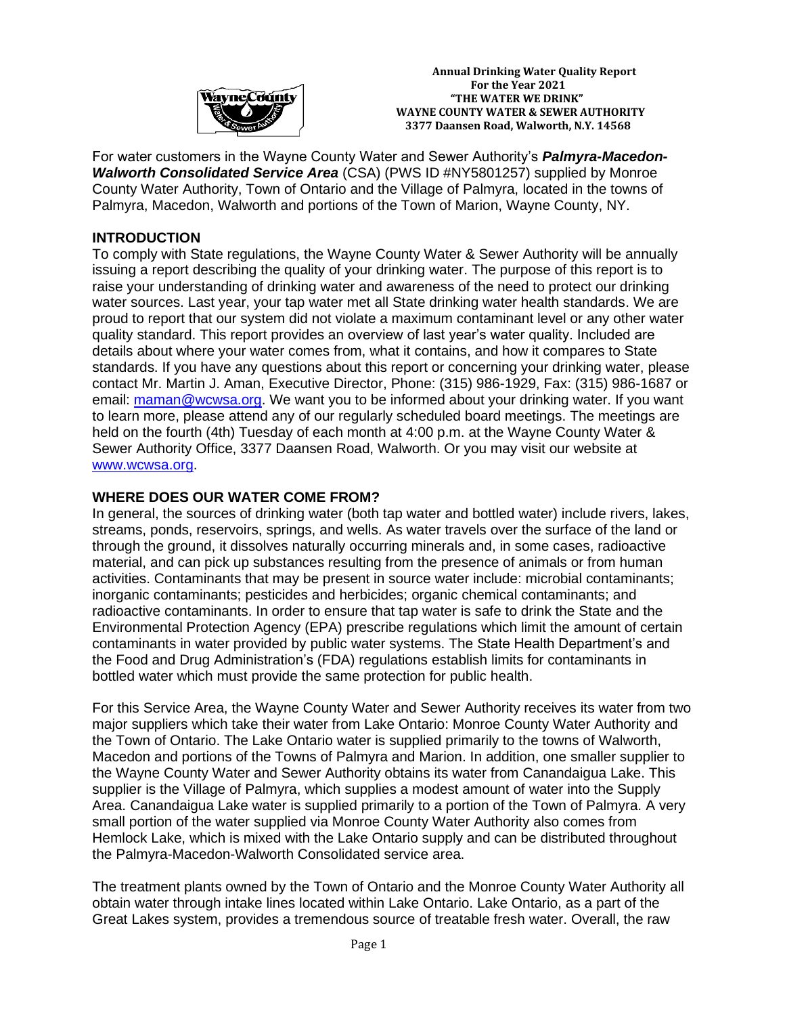

 **Annual Drinking Water Quality Report For the Year 2021**<br>**WayneCounty** FIFE WATER WE DRIN  **"THE WATER WE DRINK" WAYNE COUNTY WATER & SEWER AUTHORITY 3377 Daansen Road, Walworth, N.Y. 14568**

For water customers in the Wayne County Water and Sewer Authority's *Palmyra-Macedon-Walworth Consolidated Service Area* (CSA) (PWS ID #NY5801257) supplied by Monroe County Water Authority, Town of Ontario and the Village of Palmyra, located in the towns of Palmyra, Macedon, Walworth and portions of the Town of Marion, Wayne County, NY.

### **INTRODUCTION**

To comply with State regulations, the Wayne County Water & Sewer Authority will be annually issuing a report describing the quality of your drinking water. The purpose of this report is to raise your understanding of drinking water and awareness of the need to protect our drinking water sources. Last year, your tap water met all State drinking water health standards. We are proud to report that our system did not violate a maximum contaminant level or any other water quality standard. This report provides an overview of last year's water quality. Included are details about where your water comes from, what it contains, and how it compares to State standards. If you have any questions about this report or concerning your drinking water, please contact Mr. Martin J. Aman, Executive Director, Phone: (315) 986-1929, Fax: (315) 986-1687 or email: [maman@wcwsa.org.](mailto:maman@wcwsa.org) We want you to be informed about your drinking water. If you want to learn more, please attend any of our regularly scheduled board meetings. The meetings are held on the fourth (4th) Tuesday of each month at 4:00 p.m. at the Wayne County Water & Sewer Authority Office, 3377 Daansen Road, Walworth. Or you may visit our website at [www.wcwsa.org.](http://www.wcwsa.org/)

## **WHERE DOES OUR WATER COME FROM?**

In general, the sources of drinking water (both tap water and bottled water) include rivers, lakes, streams, ponds, reservoirs, springs, and wells. As water travels over the surface of the land or through the ground, it dissolves naturally occurring minerals and, in some cases, radioactive material, and can pick up substances resulting from the presence of animals or from human activities. Contaminants that may be present in source water include: microbial contaminants; inorganic contaminants; pesticides and herbicides; organic chemical contaminants; and radioactive contaminants. In order to ensure that tap water is safe to drink the State and the Environmental Protection Agency (EPA) prescribe regulations which limit the amount of certain contaminants in water provided by public water systems. The State Health Department's and the Food and Drug Administration's (FDA) regulations establish limits for contaminants in bottled water which must provide the same protection for public health.

For this Service Area, the Wayne County Water and Sewer Authority receives its water from two major suppliers which take their water from Lake Ontario: Monroe County Water Authority and the Town of Ontario. The Lake Ontario water is supplied primarily to the towns of Walworth, Macedon and portions of the Towns of Palmyra and Marion. In addition, one smaller supplier to the Wayne County Water and Sewer Authority obtains its water from Canandaigua Lake. This supplier is the Village of Palmyra, which supplies a modest amount of water into the Supply Area. Canandaigua Lake water is supplied primarily to a portion of the Town of Palmyra. A very small portion of the water supplied via Monroe County Water Authority also comes from Hemlock Lake, which is mixed with the Lake Ontario supply and can be distributed throughout the Palmyra-Macedon-Walworth Consolidated service area.

The treatment plants owned by the Town of Ontario and the Monroe County Water Authority all obtain water through intake lines located within Lake Ontario. Lake Ontario, as a part of the Great Lakes system, provides a tremendous source of treatable fresh water. Overall, the raw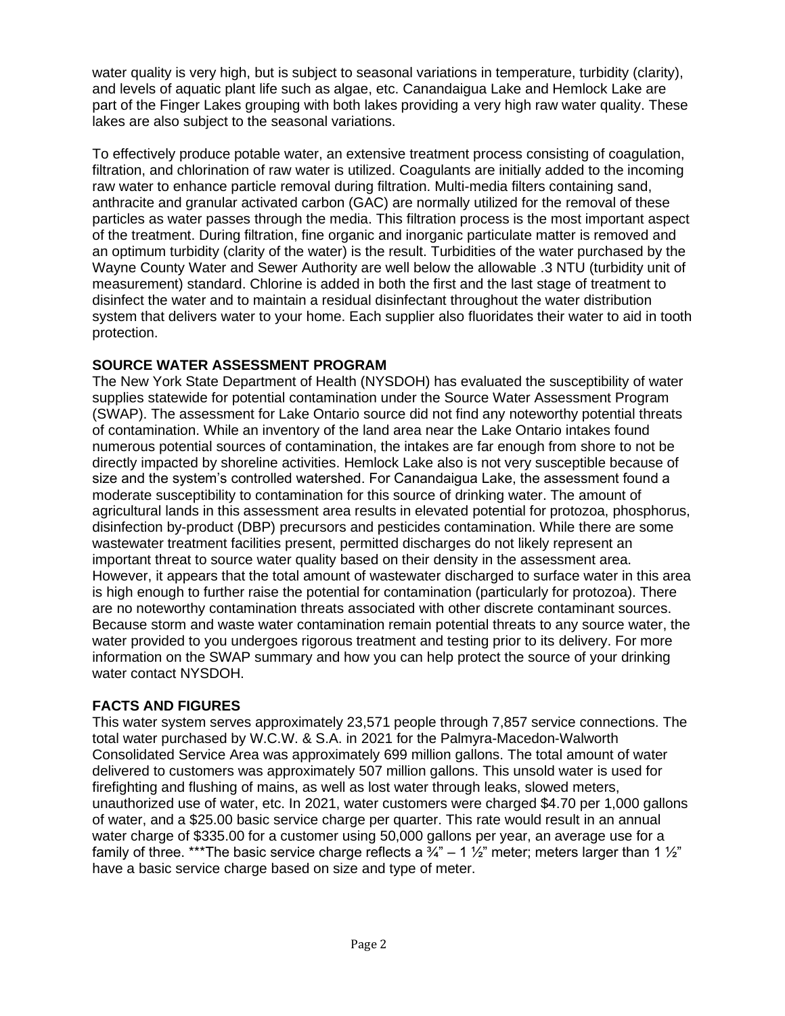water quality is very high, but is subject to seasonal variations in temperature, turbidity (clarity), and levels of aquatic plant life such as algae, etc. Canandaigua Lake and Hemlock Lake are part of the Finger Lakes grouping with both lakes providing a very high raw water quality. These lakes are also subject to the seasonal variations.

To effectively produce potable water, an extensive treatment process consisting of coagulation, filtration, and chlorination of raw water is utilized. Coagulants are initially added to the incoming raw water to enhance particle removal during filtration. Multi-media filters containing sand, anthracite and granular activated carbon (GAC) are normally utilized for the removal of these particles as water passes through the media. This filtration process is the most important aspect of the treatment. During filtration, fine organic and inorganic particulate matter is removed and an optimum turbidity (clarity of the water) is the result. Turbidities of the water purchased by the Wayne County Water and Sewer Authority are well below the allowable .3 NTU (turbidity unit of measurement) standard. Chlorine is added in both the first and the last stage of treatment to disinfect the water and to maintain a residual disinfectant throughout the water distribution system that delivers water to your home. Each supplier also fluoridates their water to aid in tooth protection.

# **SOURCE WATER ASSESSMENT PROGRAM**

The New York State Department of Health (NYSDOH) has evaluated the susceptibility of water supplies statewide for potential contamination under the Source Water Assessment Program (SWAP). The assessment for Lake Ontario source did not find any noteworthy potential threats of contamination. While an inventory of the land area near the Lake Ontario intakes found numerous potential sources of contamination, the intakes are far enough from shore to not be directly impacted by shoreline activities. Hemlock Lake also is not very susceptible because of size and the system's controlled watershed. For Canandaigua Lake, the assessment found a moderate susceptibility to contamination for this source of drinking water. The amount of agricultural lands in this assessment area results in elevated potential for protozoa, phosphorus, disinfection by-product (DBP) precursors and pesticides contamination. While there are some wastewater treatment facilities present, permitted discharges do not likely represent an important threat to source water quality based on their density in the assessment area. However, it appears that the total amount of wastewater discharged to surface water in this area is high enough to further raise the potential for contamination (particularly for protozoa). There are no noteworthy contamination threats associated with other discrete contaminant sources. Because storm and waste water contamination remain potential threats to any source water, the water provided to you undergoes rigorous treatment and testing prior to its delivery. For more information on the SWAP summary and how you can help protect the source of your drinking water contact NYSDOH.

# **FACTS AND FIGURES**

This water system serves approximately 23,571 people through 7,857 service connections. The total water purchased by W.C.W. & S.A. in 2021 for the Palmyra-Macedon-Walworth Consolidated Service Area was approximately 699 million gallons. The total amount of water delivered to customers was approximately 507 million gallons. This unsold water is used for firefighting and flushing of mains, as well as lost water through leaks, slowed meters, unauthorized use of water, etc. In 2021, water customers were charged \$4.70 per 1,000 gallons of water, and a \$25.00 basic service charge per quarter. This rate would result in an annual water charge of \$335.00 for a customer using 50,000 gallons per year, an average use for a family of three. \*\*\*The basic service charge reflects a  $\frac{3}{4}$ " – 1  $\frac{1}{2}$ " meter; meters larger than 1  $\frac{1}{2}$ " have a basic service charge based on size and type of meter.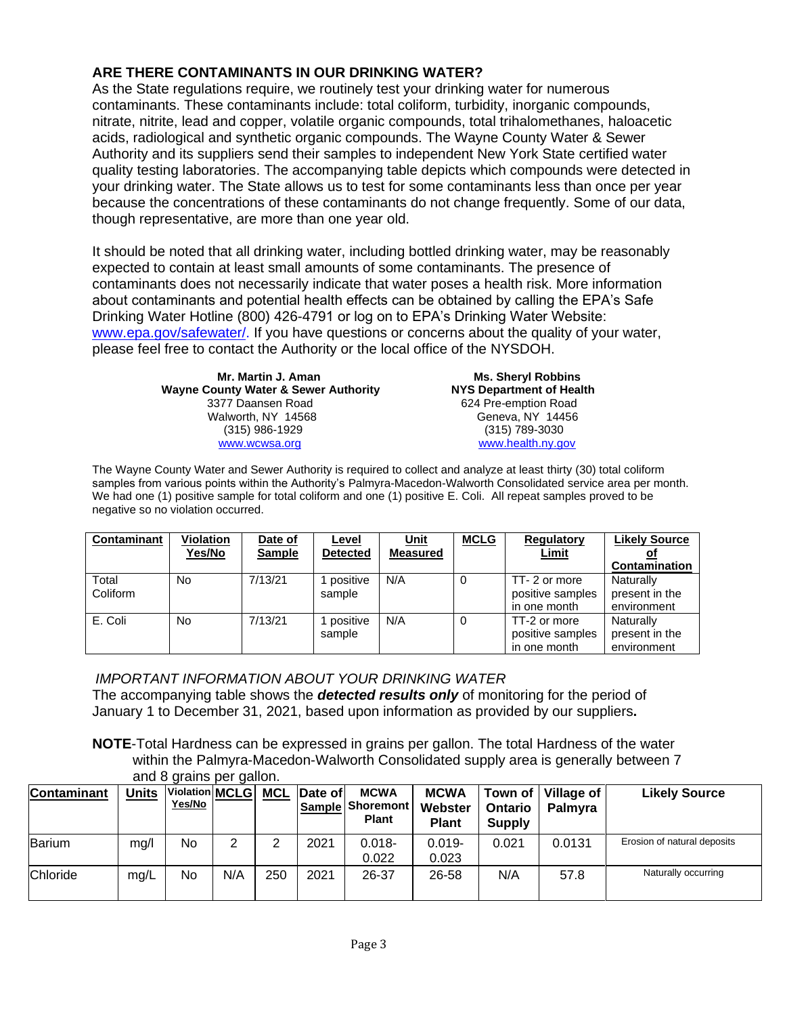# **ARE THERE CONTAMINANTS IN OUR DRINKING WATER?**

As the State regulations require, we routinely test your drinking water for numerous contaminants. These contaminants include: total coliform, turbidity, inorganic compounds, nitrate, nitrite, lead and copper, volatile organic compounds, total trihalomethanes, haloacetic acids, radiological and synthetic organic compounds. The Wayne County Water & Sewer Authority and its suppliers send their samples to independent New York State certified water quality testing laboratories. The accompanying table depicts which compounds were detected in your drinking water. The State allows us to test for some contaminants less than once per year because the concentrations of these contaminants do not change frequently. Some of our data, though representative, are more than one year old.

It should be noted that all drinking water, including bottled drinking water, may be reasonably expected to contain at least small amounts of some contaminants. The presence of contaminants does not necessarily indicate that water poses a health risk. More information about contaminants and potential health effects can be obtained by calling the EPA's Safe Drinking Water Hotline (800) 426-4791 or log on to EPA's Drinking Water Website: [www.epa.gov/safewater/.](http://www.epa.gov/safewater/) If you have questions or concerns about the quality of your water, please feel free to contact the Authority or the local office of the NYSDOH.

> **Mr. Martin J. Aman Ms. Sheryl Robbins Wayne County Water & Sewer Authority** 3377 Daansen Road 624 Pre-emption Road Walworth, NY 14568 Geneva, NY 14456 (315) 986-1929 (315) 789-3030 [www.wcwsa.o](http://www.wcwsa/)rg [www.health.ny.gov](http://www.health.ny.gov/)

The Wayne County Water and Sewer Authority is required to collect and analyze at least thirty (30) total coliform samples from various points within the Authority's Palmyra-Macedon-Walworth Consolidated service area per month. We had one (1) positive sample for total coliform and one (1) positive E. Coli. All repeat samples proved to be negative so no violation occurred.

| Contaminant       | <b>Violation</b><br>Yes/No | Date of<br><b>Sample</b> | Level<br><b>Detected</b> | Unit<br><b>Measured</b> | <b>MCLG</b> | <b>Regulatory</b><br><b>Limit</b>                | <b>Likely Source</b><br>Contamination      |
|-------------------|----------------------------|--------------------------|--------------------------|-------------------------|-------------|--------------------------------------------------|--------------------------------------------|
| Total<br>Coliform | No                         | 7/13/21                  | positive<br>sample       | N/A                     | 0           | TT-2 or more<br>positive samples<br>in one month | Naturally<br>present in the<br>environment |
| E. Coli           | No.                        | 7/13/21                  | positive<br>sample       | N/A                     | 0           | TT-2 or more<br>positive samples<br>in one month | Naturally<br>present in the<br>environment |

### *IMPORTANT INFORMATION ABOUT YOUR DRINKING WATER*

The accompanying table shows the *detected results only* of monitoring for the period of January 1 to December 31, 2021, based upon information as provided by our suppliers**.** 

**NOTE**-Total Hardness can be expressed in grains per gallon. The total Hardness of the water within the Palmyra-Macedon-Walworth Consolidated supply area is generally between 7 and 8 grains per gallon.

| Contaminant | <b>Units</b> | Violation MCLG<br><u>Yes/No</u> |     |     | MCL Date of | <b>MCWA</b><br><b>Sample Shoremont</b><br><b>Plant</b> | <b>MCWA</b><br>Webster<br><b>Plant</b> | Town of<br><b>Ontario</b><br><b>Supply</b> | Village of<br><b>Palmyra</b> | <b>Likely Source</b>        |
|-------------|--------------|---------------------------------|-----|-----|-------------|--------------------------------------------------------|----------------------------------------|--------------------------------------------|------------------------------|-----------------------------|
| Barium      | mg/l         | No                              | っ   | ⌒   | 2021        | $0.018 -$<br>0.022                                     | $0.019 -$<br>0.023                     | 0.021                                      | 0.0131                       | Erosion of natural deposits |
| Chloride    | mg/L         | No                              | N/A | 250 | 2021        | 26-37                                                  | 26-58                                  | N/A                                        | 57.8                         | Naturally occurring         |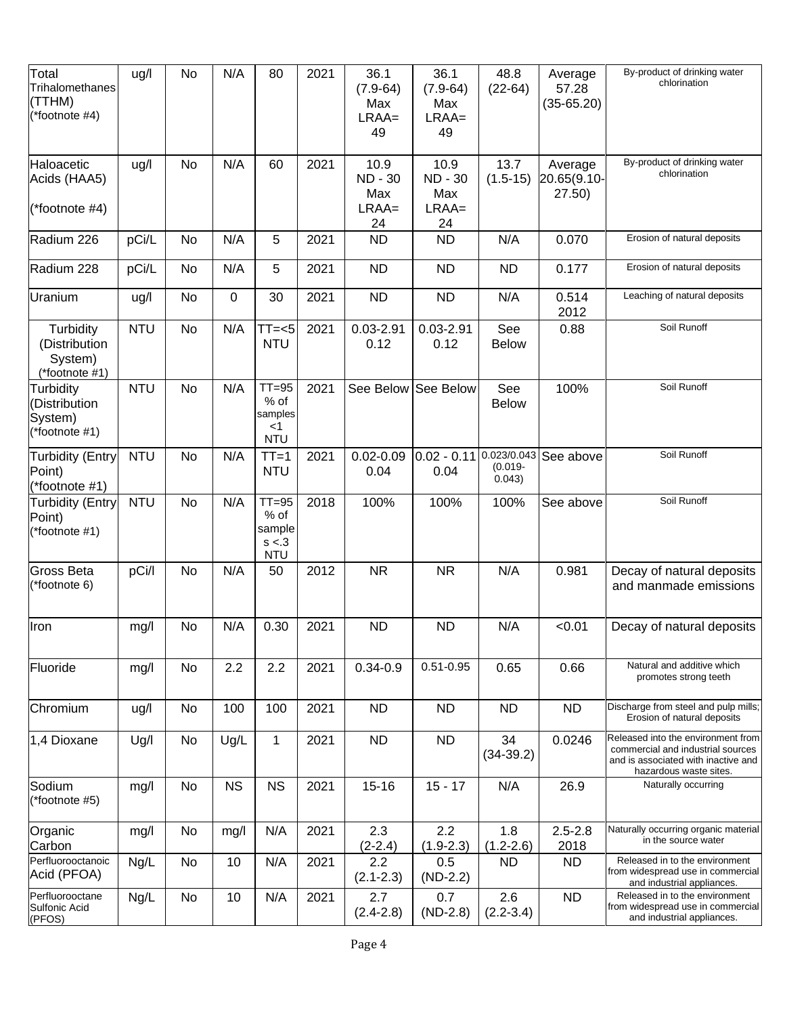| Total<br>Trihalomethanes<br>(TTHM)<br>(*footnote #4)      | ug/l       | No | N/A         | 80                                                   | 2021 | 36.1<br>$(7.9 - 64)$<br>Max<br>$LRAA=$<br>49 | 36.1<br>$(7.9 - 64)$<br>Max<br>$LRAA=$<br>49   | 48.8<br>$(22-64)$                   | Average<br>57.28<br>$(35-65.20)$ | By-product of drinking water<br>chlorination                                                                                             |
|-----------------------------------------------------------|------------|----|-------------|------------------------------------------------------|------|----------------------------------------------|------------------------------------------------|-------------------------------------|----------------------------------|------------------------------------------------------------------------------------------------------------------------------------------|
| Haloacetic<br>Acids (HAA5)<br>$(*footnote #4)$            | ug/l       | No | N/A         | 60                                                   | 2021 | 10.9<br><b>ND-30</b><br>Max<br>$LRAA=$<br>24 | 10.9<br><b>ND - 30</b><br>Max<br>$LRAA=$<br>24 | 13.7<br>$(1.5-15)$                  | Average<br>20.65(9.10-<br>27.50) | By-product of drinking water<br>chlorination                                                                                             |
| Radium 226                                                | pCi/L      | No | N/A         | 5                                                    | 2021 | <b>ND</b>                                    | <b>ND</b>                                      | N/A                                 | 0.070                            | Erosion of natural deposits                                                                                                              |
| Radium 228                                                | pCi/L      | No | N/A         | 5                                                    | 2021 | <b>ND</b>                                    | <b>ND</b>                                      | <b>ND</b>                           | 0.177                            | Erosion of natural deposits                                                                                                              |
| Uranium                                                   | ug/l       | No | $\mathbf 0$ | 30                                                   | 2021 | <b>ND</b>                                    | <b>ND</b>                                      | N/A                                 | 0.514<br>2012                    | Leaching of natural deposits                                                                                                             |
| Turbidity<br>(Distribution<br>System)<br>$(*footnote #1)$ | <b>NTU</b> | No | N/A         | $TT=<5$<br><b>NTU</b>                                | 2021 | $0.03 - 2.91$<br>0.12                        | $0.03 - 2.91$<br>0.12                          | See<br><b>Below</b>                 | 0.88                             | Soil Runoff                                                                                                                              |
| Turbidity<br>Distribution<br>System)<br>(*footnote #1)    | <b>NTU</b> | No | N/A         | $TT = 95$<br>% of<br>samples<br>$<$ 1<br><b>NTU</b>  | 2021 | See Below                                    | See Below                                      | See<br><b>Below</b>                 | 100%                             | Soil Runoff                                                                                                                              |
| <b>Turbidity (Entry</b><br>Point)<br>(*footnote #1)       | <b>NTU</b> | No | N/A         | $TT=1$<br><b>NTU</b>                                 | 2021 | $0.02 - 0.09$<br>0.04                        | $0.02 - 0.11$<br>0.04                          | 0.023/0.043<br>$(0.019 -$<br>0.043) | See above                        | Soil Runoff                                                                                                                              |
| <b>Turbidity (Entry</b><br>Point)<br>(*footnote #1)       | <b>NTU</b> | No | N/A         | $TT = 95$<br>$%$ of<br>sample<br>s < 3<br><b>NTU</b> | 2018 | 100%                                         | 100%                                           | 100%                                | See above                        | Soil Runoff                                                                                                                              |
| <b>Gross Beta</b><br>(*footnote 6)                        | pCi/l      | No | N/A         | 50                                                   | 2012 | <b>NR</b>                                    | <b>NR</b>                                      | N/A                                 | 0.981                            | Decay of natural deposits<br>and manmade emissions                                                                                       |
| Iron                                                      | mg/l       | No | N/A         | 0.30                                                 | 2021 | <b>ND</b>                                    | <b>ND</b>                                      | N/A                                 | < 0.01                           | Decay of natural deposits                                                                                                                |
| Fluoride                                                  | mg/l       | No | 2.2         | 2.2                                                  | 2021 | $0.34 - 0.9$                                 | $0.51 - 0.95$                                  | 0.65                                | 0.66                             | Natural and additive which<br>promotes strong teeth                                                                                      |
| Chromium                                                  | ug/l       | No | 100         | 100                                                  | 2021 | <b>ND</b>                                    | <b>ND</b>                                      | <b>ND</b>                           | <b>ND</b>                        | Discharge from steel and pulp mills;<br>Erosion of natural deposits                                                                      |
| 1,4 Dioxane                                               | Ug/l       | No | Ug/L        | $\mathbf{1}$                                         | 2021 | <b>ND</b>                                    | <b>ND</b>                                      | 34<br>$(34-39.2)$                   | 0.0246                           | Released into the environment from<br>commercial and industrial sources<br>and is associated with inactive and<br>hazardous waste sites. |
| Sodium<br>(*footnote #5)                                  | mg/l       | No | <b>NS</b>   | <b>NS</b>                                            | 2021 | $15 - 16$                                    | $15 - 17$                                      | N/A                                 | 26.9                             | Naturally occurring                                                                                                                      |
| Organic<br>Carbon                                         | mg/l       | No | mg/l        | N/A                                                  | 2021 | 2.3<br>$(2-2.4)$                             | 2.2<br>$(1.9 - 2.3)$                           | 1.8<br>$(1.2 - 2.6)$                | $2.5 - 2.8$<br>2018              | Naturally occurring organic material<br>in the source water                                                                              |
| Perfluorooctanoic<br>Acid (PFOA)                          | Ng/L       | No | 10          | N/A                                                  | 2021 | 2.2<br>$(2.1 - 2.3)$                         | 0.5<br>$(ND-2.2)$                              | <b>ND</b>                           | <b>ND</b>                        | Released in to the environment<br>from widespread use in commercial<br>and industrial appliances.                                        |
| Perfluorooctane<br><b>Sulfonic Acid</b><br>(PFOS)         | Ng/L       | No | 10          | N/A                                                  | 2021 | 2.7<br>$(2.4 - 2.8)$                         | 0.7<br>$(ND-2.8)$                              | 2.6<br>$(2.2 - 3.4)$                | <b>ND</b>                        | Released in to the environment<br>from widespread use in commercial<br>and industrial appliances.                                        |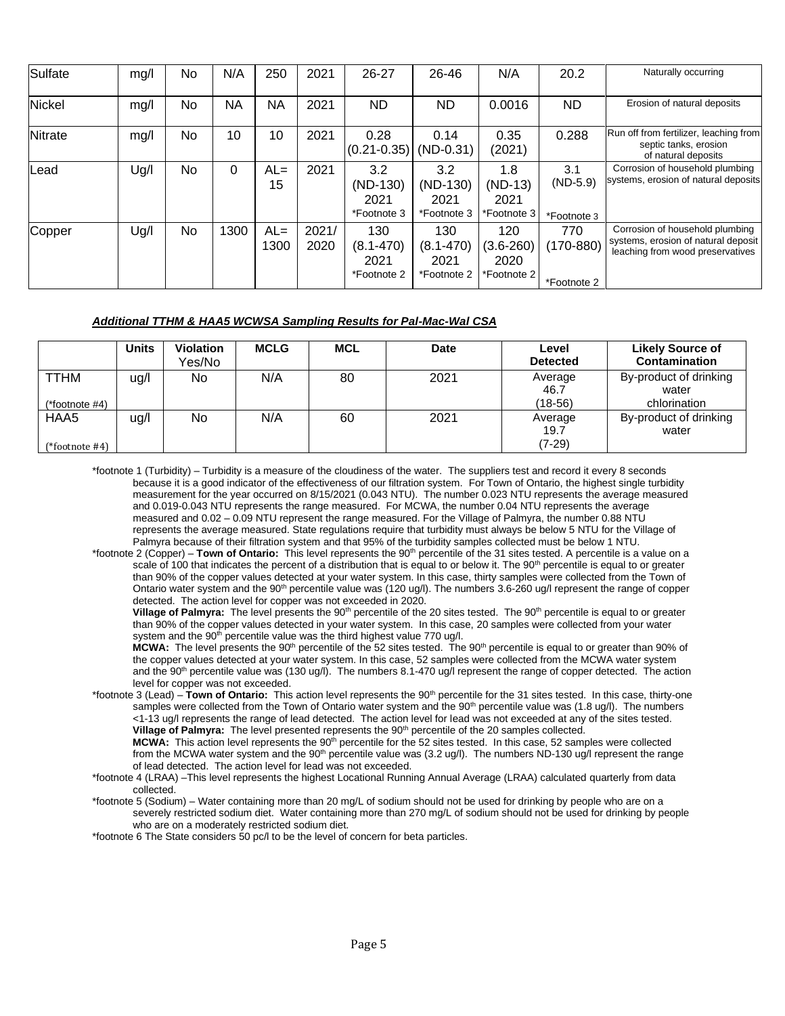| Sulfate | mg/l | No. | N/A  | 250            | 2021          | $26 - 27$                                   | 26-46                                       | N/A                                         | 20.2                                | Naturally occurring                                                                                        |
|---------|------|-----|------|----------------|---------------|---------------------------------------------|---------------------------------------------|---------------------------------------------|-------------------------------------|------------------------------------------------------------------------------------------------------------|
| Nickel  | mg/l | No  | NA   | NA             | 2021          | ND.                                         | <b>ND</b>                                   | 0.0016                                      | ND                                  | Erosion of natural deposits                                                                                |
| Nitrate | mg/l | No  | 10   | 10             | 2021          | 0.28<br>$(0.21 - 0.35)$                     | 0.14<br>$(ND-0.31)$                         | 0.35<br>(2021)                              | 0.288                               | Run off from fertilizer, leaching from<br>septic tanks, erosion<br>of natural deposits                     |
| Lead    | Ug/I | No. | 0    | $AL =$<br>15   | 2021          | 3.2<br>(ND-130)<br>2021<br>*Footnote 3      | 3.2<br>$(ND-130)$<br>2021<br>*Footnote 3    | 1.8<br>$(ND-13)$<br>2021<br>*Footnote 3     | 3.1<br>$(ND-5.9)$<br>*Footnote 3    | Corrosion of household plumbing<br>systems, erosion of natural deposits                                    |
| Copper  | Ug/l | No  | 1300 | $AL =$<br>1300 | 2021/<br>2020 | 130<br>$(8.1 - 470)$<br>2021<br>*Footnote 2 | 130<br>$(8.1 - 470)$<br>2021<br>*Footnote 2 | 120<br>$(3.6 - 260)$<br>2020<br>*Footnote 2 | 770<br>$(170 - 880)$<br>*Footnote 2 | Corrosion of household plumbing<br>systems, erosion of natural deposit<br>leaching from wood preservatives |

#### *Additional TTHM & HAA5 WCWSA Sampling Results for Pal-Mac-Wal CSA*

|                               | <b>Units</b> | <b>Violation</b><br>Yes/No | <b>MCLG</b> | <b>MCL</b> | <b>Date</b> | Level<br><b>Detected</b>    | <b>Likely Source of</b><br><b>Contamination</b> |
|-------------------------------|--------------|----------------------------|-------------|------------|-------------|-----------------------------|-------------------------------------------------|
| <b>TTHM</b><br>(*footnote #4) | ug/l         | No                         | N/A         | 80         | 2021        | Average<br>46.7<br>(18-56)  | By-product of drinking<br>water<br>chlorination |
| HAA5<br>(*footnote #4)        | ug/l         | No                         | N/A         | 60         | 2021        | Average<br>19.7<br>$(7-29)$ | By-product of drinking<br>water                 |

\*footnote 1 (Turbidity) – Turbidity is a measure of the cloudiness of the water. The suppliers test and record it every 8 seconds because it is a good indicator of the effectiveness of our filtration system. For Town of Ontario, the highest single turbidity measurement for the year occurred on 8/15/2021 (0.043 NTU). The number 0.023 NTU represents the average measured and 0.019-0.043 NTU represents the range measured. For MCWA, the number 0.04 NTU represents the average measured and 0.02 – 0.09 NTU represent the range measured. For the Village of Palmyra, the number 0.88 NTU represents the average measured. State regulations require that turbidity must always be below 5 NTU for the Village of Palmyra because of their filtration system and that 95% of the turbidity samples collected must be below 1 NTU.

\*footnote 2 (Copper) – **Town of Ontario:** This level represents the 90th percentile of the 31 sites tested. A percentile is a value on a scale of 100 that indicates the percent of a distribution that is equal to or below it. The 90<sup>th</sup> percentile is equal to or greater than 90% of the copper values detected at your water system. In this case, thirty samples were collected from the Town of Ontario water system and the  $90<sup>th</sup>$  percentile value was (120 ug/l). The numbers 3.6-260 ug/l represent the range of copper detected. The action level for copper was not exceeded in 2020.

**Village of Palmyra:** The level presents the 90<sup>th</sup> percentile of the 20 sites tested. The 90<sup>th</sup> percentile is equal to or greater than 90% of the copper values detected in your water system. In this case, 20 samples were collected from your water system and the 90<sup>th</sup> percentile value was the third highest value 770 ug/l.

MCWA: The level presents the 90<sup>th</sup> percentile of the 52 sites tested. The 90<sup>th</sup> percentile is equal to or greater than 90% of the copper values detected at your water system. In this case, 52 samples were collected from the MCWA water system and the 90<sup>th</sup> percentile value was (130 ug/l). The numbers 8.1-470 ug/l represent the range of copper detected. The action level for copper was not exceeded.

\*footnote 3 (Lead) – **Town of Ontario:** This action level represents the 90<sup>th</sup> percentile for the 31 sites tested. In this case, thirty-one samples were collected from the Town of Ontario water system and the  $90<sup>th</sup>$  percentile value was (1.8 ug/l). The numbers <1-13 ug/l represents the range of lead detected. The action level for lead was not exceeded at any of the sites tested. Village of Palmyra: The level presented represents the 90<sup>th</sup> percentile of the 20 samples collected.

**MCWA:** This action level represents the 90<sup>th</sup> percentile for the 52 sites tested. In this case, 52 samples were collected from the MCWA water system and the  $90<sup>th</sup>$  percentile value was (3.2 ug/l). The numbers ND-130 ug/l represent the range of lead detected. The action level for lead was not exceeded.

- \*footnote 4 (LRAA) –This level represents the highest Locational Running Annual Average (LRAA) calculated quarterly from data collected.
- \*footnote 5 (Sodium) Water containing more than 20 mg/L of sodium should not be used for drinking by people who are on a severely restricted sodium diet. Water containing more than 270 mg/L of sodium should not be used for drinking by people who are on a moderately restricted sodium diet.

\*footnote 6 The State considers 50 pc/l to be the level of concern for beta particles.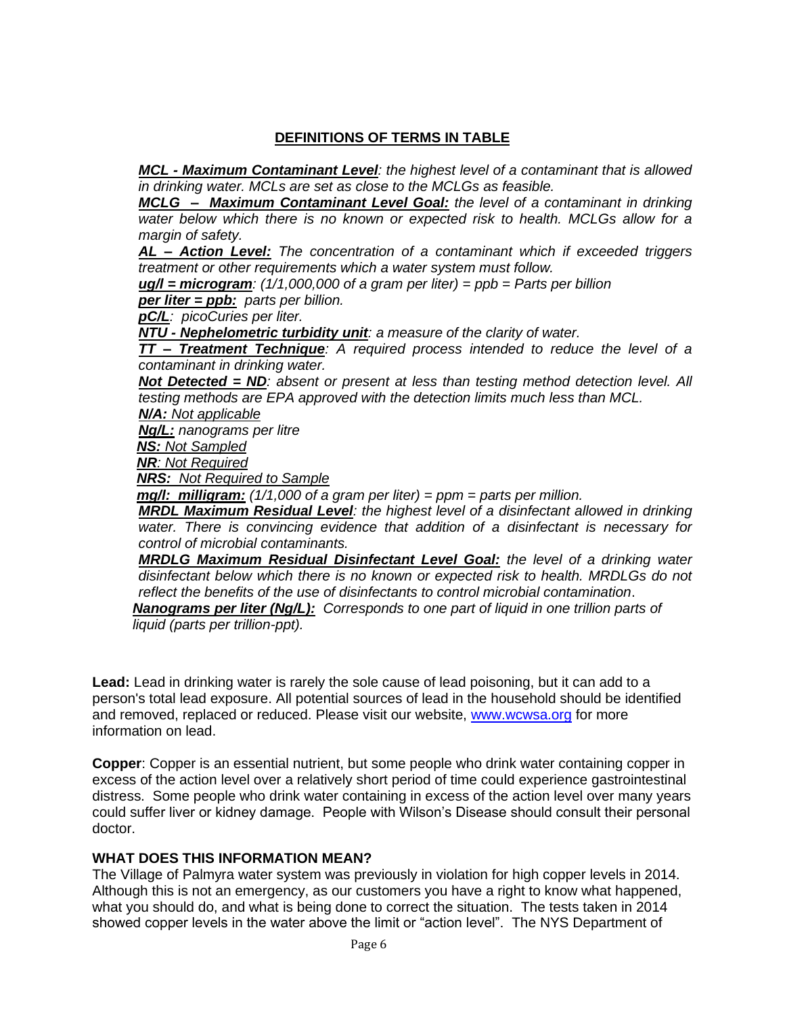### **DEFINITIONS OF TERMS IN TABLE**

*MCL - Maximum Contaminant Level: the highest level of a contaminant that is allowed in drinking water. MCLs are set as close to the MCLGs as feasible.*

*MCLG – Maximum Contaminant Level Goal: the level of a contaminant in drinking water below which there is no known or expected risk to health. MCLGs allow for a margin of safety.*

*AL – Action Level: The concentration of a contaminant which if exceeded triggers treatment or other requirements which a water system must follow.*

*ug/l = microgram: (1/1,000,000 of a gram per liter) = ppb = Parts per billion*

*per liter = ppb: parts per billion.*

*pC/L: picoCuries per liter.*

*NTU - Nephelometric turbidity unit: a measure of the clarity of water.*

*TT – Treatment Technique: A required process intended to reduce the level of a contaminant in drinking water.*

*Not Detected = ND: absent or present at less than testing method detection level. All testing methods are EPA approved with the detection limits much less than MCL.*

*N/A: Not applicable*

*Ng/L: nanograms per litre*

*NS: Not Sampled*

*NR: Not Required*

*NRS: Not Required to Sample*

*mg/l: milligram: (1/1,000 of a gram per liter) = ppm = parts per million.*

*MRDL Maximum Residual Level: the highest level of a disinfectant allowed in drinking water. There is convincing evidence that addition of a disinfectant is necessary for control of microbial contaminants.*

*MRDLG Maximum Residual Disinfectant Level Goal: the level of a drinking water disinfectant below which there is no known or expected risk to health. MRDLGs do not reflect the benefits of the use of disinfectants to control microbial contamination*.

*Nanograms per liter (Ng/L): Corresponds to one part of liquid in one trillion parts of liquid (parts per trillion-ppt).*

**Lead:** Lead in drinking water is rarely the sole cause of lead poisoning, but it can add to a person's total lead exposure. All potential sources of lead in the household should be identified and removed, replaced or reduced. Please visit our website, [www.wcwsa.org](http://www.wcwsa.org/) for more information on lead.

**Copper**: Copper is an essential nutrient, but some people who drink water containing copper in excess of the action level over a relatively short period of time could experience gastrointestinal distress. Some people who drink water containing in excess of the action level over many years could suffer liver or kidney damage. People with Wilson's Disease should consult their personal doctor.

#### **WHAT DOES THIS INFORMATION MEAN?**

The Village of Palmyra water system was previously in violation for high copper levels in 2014. Although this is not an emergency, as our customers you have a right to know what happened, what you should do, and what is being done to correct the situation. The tests taken in 2014 showed copper levels in the water above the limit or "action level". The NYS Department of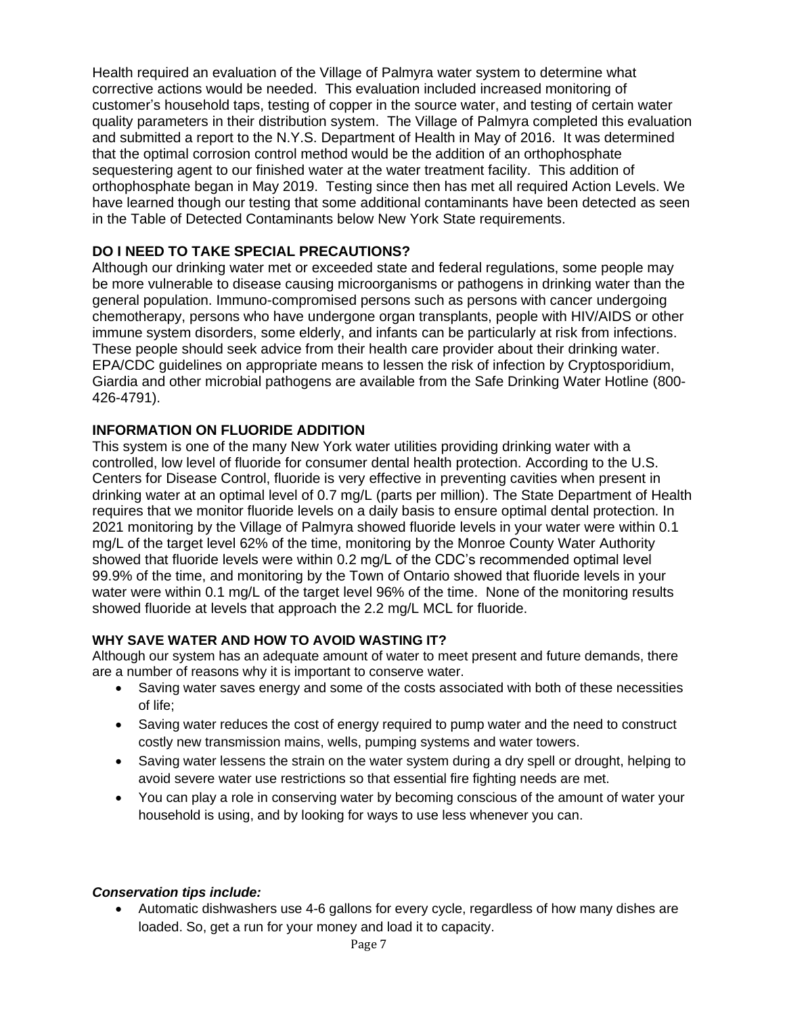Health required an evaluation of the Village of Palmyra water system to determine what corrective actions would be needed. This evaluation included increased monitoring of customer's household taps, testing of copper in the source water, and testing of certain water quality parameters in their distribution system. The Village of Palmyra completed this evaluation and submitted a report to the N.Y.S. Department of Health in May of 2016. It was determined that the optimal corrosion control method would be the addition of an orthophosphate sequestering agent to our finished water at the water treatment facility. This addition of orthophosphate began in May 2019. Testing since then has met all required Action Levels. We have learned though our testing that some additional contaminants have been detected as seen in the Table of Detected Contaminants below New York State requirements.

# **DO I NEED TO TAKE SPECIAL PRECAUTIONS?**

Although our drinking water met or exceeded state and federal regulations, some people may be more vulnerable to disease causing microorganisms or pathogens in drinking water than the general population. Immuno-compromised persons such as persons with cancer undergoing chemotherapy, persons who have undergone organ transplants, people with HIV/AIDS or other immune system disorders, some elderly, and infants can be particularly at risk from infections. These people should seek advice from their health care provider about their drinking water. EPA/CDC guidelines on appropriate means to lessen the risk of infection by Cryptosporidium, Giardia and other microbial pathogens are available from the Safe Drinking Water Hotline (800- 426-4791).

## **INFORMATION ON FLUORIDE ADDITION**

This system is one of the many New York water utilities providing drinking water with a controlled, low level of fluoride for consumer dental health protection. According to the U.S. Centers for Disease Control, fluoride is very effective in preventing cavities when present in drinking water at an optimal level of 0.7 mg/L (parts per million). The State Department of Health requires that we monitor fluoride levels on a daily basis to ensure optimal dental protection. In 2021 monitoring by the Village of Palmyra showed fluoride levels in your water were within 0.1 mg/L of the target level 62% of the time, monitoring by the Monroe County Water Authority showed that fluoride levels were within 0.2 mg/L of the CDC's recommended optimal level 99.9% of the time, and monitoring by the Town of Ontario showed that fluoride levels in your water were within 0.1 mg/L of the target level 96% of the time. None of the monitoring results showed fluoride at levels that approach the 2.2 mg/L MCL for fluoride.

#### **WHY SAVE WATER AND HOW TO AVOID WASTING IT?**

Although our system has an adequate amount of water to meet present and future demands, there are a number of reasons why it is important to conserve water.

- Saving water saves energy and some of the costs associated with both of these necessities of life;
- Saving water reduces the cost of energy required to pump water and the need to construct costly new transmission mains, wells, pumping systems and water towers.
- Saving water lessens the strain on the water system during a dry spell or drought, helping to avoid severe water use restrictions so that essential fire fighting needs are met.
- You can play a role in conserving water by becoming conscious of the amount of water your household is using, and by looking for ways to use less whenever you can.

#### *Conservation tips include:*

• Automatic dishwashers use 4-6 gallons for every cycle, regardless of how many dishes are loaded. So, get a run for your money and load it to capacity.